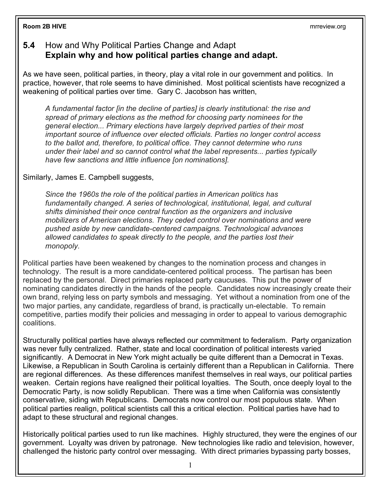## **Room 2B HIVE** mrreview.org

## **5.4** How and Why Political Parties Change and Adapt **Explain why and how political parties change and adapt.**

As we have seen, political parties, in theory, play a vital role in our government and politics. In practice, however, that role seems to have diminished. Most political scientists have recognized a weakening of political parties over time. Gary C. Jacobson has written,

*A fundamental factor [in the decline of parties] is clearly institutional: the rise and spread of primary elections as the method for choosing party nominees for the general election... Primary elections have largely deprived parties of their most important source of influence over elected officials. Parties no longer control access to the ballot and, therefore, to political office. They cannot determine who runs under their label and so cannot control what the label represents... parties typically have few sanctions and little influence [on nominations].*

## Similarly, James E. Campbell suggests,

*Since the 1960s the role of the political parties in American politics has*  fundamentally changed. A series of technological, institutional, legal, and cultural *shifts diminished their once central function as the organizers and inclusive mobilizers of American elections. They ceded control over nominations and were pushed aside by new candidate-centered campaigns. Technological advances allowed candidates to speak directly to the people, and the parties lost their monopoly.*

Political parties have been weakened by changes to the nomination process and changes in technology. The result is a more candidate-centered political process. The partisan has been replaced by the personal. Direct primaries replaced party caucuses. This put the power of nominating candidates directly in the hands of the people. Candidates now increasingly create their own brand, relying less on party symbols and messaging. Yet without a nomination from one of the two major parties, any candidate, regardless of brand, is practically un-electable. To remain competitive, parties modify their policies and messaging in order to appeal to various demographic coalitions.

Structurally political parties have always reflected our commitment to federalism. Party organization was never fully centralized. Rather, state and local coordination of political interests varied significantly. A Democrat in New York might actually be quite different than a Democrat in Texas. Likewise, a Republican in South Carolina is certainly different than a Republican in California. There are regional differences. As these differences manifest themselves in real ways, our political parties weaken. Certain regions have realigned their political loyalties. The South, once deeply loyal to the Democratic Party, is now solidly Republican. There was a time when California was consistently conservative, siding with Republicans. Democrats now control our most populous state. When political parties realign, political scientists call this a critical election. Political parties have had to adapt to these structural and regional changes.

Historically political parties used to run like machines. Highly structured, they were the engines of our government. Loyalty was driven by patronage. New technologies like radio and television, however, challenged the historic party control over messaging. With direct primaries bypassing party bosses,